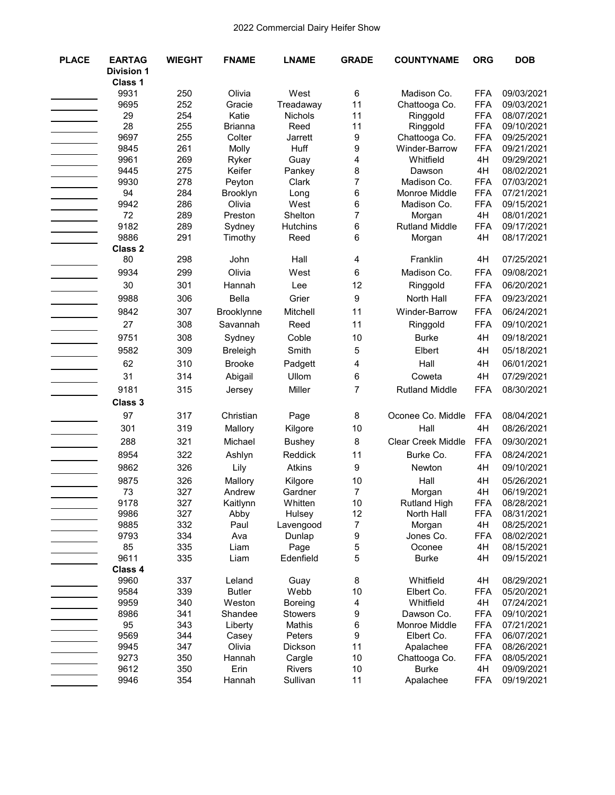| <b>PLACE</b> | <b>EARTAG</b><br><b>Division 1</b><br>Class 1 | <b>WIEGHT</b> | <b>FNAME</b>      | <b>LNAME</b>             | <b>GRADE</b>            | <b>COUNTYNAME</b>       | <b>ORG</b>       | <b>DOB</b>               |
|--------------|-----------------------------------------------|---------------|-------------------|--------------------------|-------------------------|-------------------------|------------------|--------------------------|
|              | 9931                                          | 250           | Olivia            | West                     | 6                       | Madison Co.             | <b>FFA</b>       | 09/03/2021               |
|              | 9695                                          | 252           | Gracie            | Treadaway                | 11                      | Chattooga Co.           | <b>FFA</b>       | 09/03/2021               |
|              | 29                                            | 254           | Katie             | Nichols                  | 11                      | Ringgold                | <b>FFA</b>       | 08/07/2021               |
|              | 28                                            | 255           | <b>Brianna</b>    | Reed                     | 11                      | Ringgold                | <b>FFA</b>       | 09/10/2021               |
|              | 9697                                          | 255           | Colter            | Jarrett                  | 9                       | Chattooga Co.           | <b>FFA</b>       | 09/25/2021               |
|              | 9845                                          | 261           | Molly             | Huff                     | 9                       | Winder-Barrow           | <b>FFA</b>       | 09/21/2021               |
|              | 9961                                          | 269           | Ryker             | Guay                     | 4                       | Whitfield               | 4H               | 09/29/2021               |
|              | 9445                                          | 275           | Keifer            | Pankey                   | 8                       | Dawson                  | 4H               | 08/02/2021               |
|              | 9930                                          | 278           | Peyton            | Clark                    | $\overline{7}$          | Madison Co.             | <b>FFA</b>       | 07/03/2021               |
|              | 94                                            | 284           | Brooklyn          | Long                     | 6                       | Monroe Middle           | <b>FFA</b>       | 07/21/2021               |
|              | 9942                                          | 286           | Olivia            | West                     | 6                       | Madison Co.             | <b>FFA</b>       | 09/15/2021               |
|              | 72                                            | 289           | Preston           | Shelton                  | $\overline{7}$          | Morgan                  | 4H               | 08/01/2021               |
|              | 9182                                          | 289           | Sydney            | <b>Hutchins</b>          | 6                       | <b>Rutland Middle</b>   | <b>FFA</b>       | 09/17/2021               |
|              | 9886                                          | 291           | Timothy           | Reed                     | 6                       | Morgan                  | 4H               | 08/17/2021               |
|              | <b>Class 2</b>                                |               |                   |                          |                         |                         |                  |                          |
|              | 80                                            | 298           | John              | Hall                     | 4                       | Franklin                | 4H               | 07/25/2021               |
|              | 9934                                          | 299           | Olivia            | West                     | 6                       | Madison Co.             | <b>FFA</b>       | 09/08/2021               |
|              | 30                                            | 301           | Hannah            | Lee                      | 12                      | Ringgold                | <b>FFA</b>       | 06/20/2021               |
|              | 9988                                          | 306           | <b>Bella</b>      | Grier                    | 9                       | North Hall              | <b>FFA</b>       | 09/23/2021               |
|              | 9842                                          | 307           | Brooklynne        | Mitchell                 | 11                      | Winder-Barrow           | <b>FFA</b>       | 06/24/2021               |
|              | 27                                            | 308           | Savannah          | Reed                     | 11                      | Ringgold                | <b>FFA</b>       | 09/10/2021               |
|              | 9751                                          | 308           | Sydney            | Coble                    | 10                      | <b>Burke</b>            | 4H               | 09/18/2021               |
|              | 9582                                          | 309           | <b>Breleigh</b>   | Smith                    | 5                       | Elbert                  | 4H               | 05/18/2021               |
|              | 62                                            | 310           | <b>Brooke</b>     | Padgett                  | 4                       | Hall                    | 4H               | 06/01/2021               |
|              | 31                                            | 314           | Abigail           | Ullom                    | 6                       | Coweta                  | 4H               | 07/29/2021               |
|              | 9181                                          | 315           | Jersey            | Miller                   | 7                       | <b>Rutland Middle</b>   | <b>FFA</b>       | 08/30/2021               |
|              | Class 3                                       |               |                   |                          |                         |                         |                  |                          |
|              | 97                                            | 317           | Christian         | Page                     | 8                       | Oconee Co. Middle       | <b>FFA</b>       | 08/04/2021               |
|              | 301                                           | 319           | Mallory           | Kilgore                  | 10                      | Hall                    | 4H               | 08/26/2021               |
|              | 288                                           | 321           | Michael           | <b>Bushey</b>            | 8                       | Clear Creek Middle      | <b>FFA</b>       | 09/30/2021               |
|              | 8954                                          | 322           | Ashlyn            | Reddick                  | 11                      | Burke Co.               | <b>FFA</b>       | 08/24/2021               |
|              | 9862                                          | 326           | Lily              | Atkins                   | 9                       | Newton                  | 4H               | 09/10/2021               |
|              | 9875                                          | 326           | Mallory           | Kilgore                  | 10                      | Hall                    | 4H               | 05/26/2021               |
|              | 73                                            | 327           | Andrew            | Gardner                  | 7                       | Morgan                  | 4H               | 06/19/2021               |
|              | 9178                                          | 327           | Kaitlynn          | Whitten                  | $10$                    | <b>Rutland High</b>     | <b>FFA</b>       | 08/28/2021               |
|              | 9986                                          | 327           | Abby              | Hulsey                   | 12                      | North Hall              | <b>FFA</b>       | 08/31/2021               |
|              | 9885                                          | 332           | Paul              | Lavengood                | 7                       | Morgan                  | 4H               | 08/25/2021               |
|              | 9793                                          | 334           | Ava               | Dunlap                   | 9                       | Jones Co.               | <b>FFA</b>       | 08/02/2021               |
|              | 85                                            | 335           | Liam              | Page                     | 5                       | Oconee                  | 4H               | 08/15/2021               |
|              | 9611                                          | 335           | Liam              | Edenfield                | 5                       | <b>Burke</b>            | 4H               | 09/15/2021               |
|              | Class 4                                       |               |                   |                          |                         |                         |                  |                          |
|              | 9960                                          | 337           | Leland            | Guay                     | 8                       | Whitfield               | 4H               | 08/29/2021               |
|              | 9584                                          | 339           | <b>Butler</b>     | Webb                     | 10                      | Elbert Co.              | <b>FFA</b>       | 05/20/2021               |
|              | 9959<br>8986                                  | 340<br>341    | Weston<br>Shandee | <b>Boreing</b>           | $\overline{\mathbf{4}}$ | Whitfield<br>Dawson Co. | 4H<br><b>FFA</b> | 07/24/2021<br>09/10/2021 |
|              | 95                                            | 343           | Liberty           | <b>Stowers</b><br>Mathis | 9<br>6                  | Monroe Middle           | <b>FFA</b>       | 07/21/2021               |
|              | 9569                                          | 344           | Casey             | Peters                   | 9                       | Elbert Co.              | <b>FFA</b>       | 06/07/2021               |
|              | 9945                                          | 347           | Olivia            | Dickson                  | 11                      | Apalachee               | <b>FFA</b>       | 08/26/2021               |
|              | 9273                                          | 350           | Hannah            | Cargle                   | 10                      | Chattooga Co.           | <b>FFA</b>       | 08/05/2021               |
|              | 9612                                          | 350           | Erin              | <b>Rivers</b>            | 10                      | <b>Burke</b>            | 4H               | 09/09/2021               |
|              | 9946                                          | 354           | Hannah            | Sullivan                 | 11                      | Apalachee               | <b>FFA</b>       | 09/19/2021               |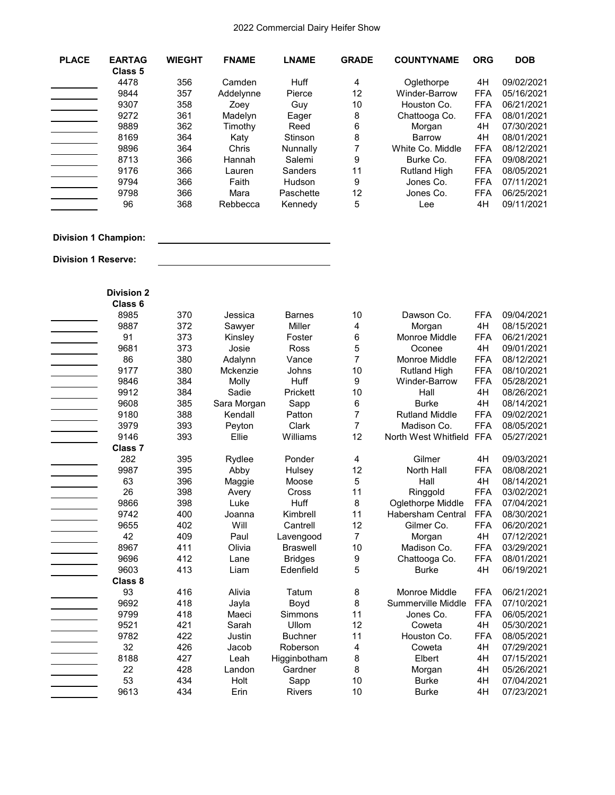| <b>PLACE</b>               | <b>EARTAG</b><br>Class <sub>5</sub> | <b>WIEGHT</b> | <b>FNAME</b> | <b>LNAME</b>    | <b>GRADE</b>   | <b>COUNTYNAME</b>       | <b>ORG</b> | <b>DOB</b> |
|----------------------------|-------------------------------------|---------------|--------------|-----------------|----------------|-------------------------|------------|------------|
|                            | 4478                                | 356           | Camden       | Huff            | 4              | Oglethorpe              | 4H         | 09/02/2021 |
|                            | 9844                                | 357           | Addelynne    | Pierce          | 12             | Winder-Barrow           | <b>FFA</b> | 05/16/2021 |
|                            | 9307                                | 358           | Zoey         | Guy             | 10             | Houston Co.             | <b>FFA</b> | 06/21/2021 |
|                            | 9272                                | 361           | Madelyn      |                 |                | Chattooga Co.           | <b>FFA</b> | 08/01/2021 |
|                            | 9889                                | 362           |              | Eager<br>Reed   | 8<br>6         |                         | 4H         | 07/30/2021 |
|                            | 8169                                | 364           | Timothy      | Stinson         | 8              | Morgan<br><b>Barrow</b> | 4H         | 08/01/2021 |
|                            |                                     |               | Katy         |                 |                |                         |            |            |
|                            | 9896                                | 364           | Chris        | Nunnally        | $\overline{7}$ | White Co. Middle        | <b>FFA</b> | 08/12/2021 |
|                            | 8713                                | 366           | Hannah       | Salemi          | 9              | Burke Co.               | <b>FFA</b> | 09/08/2021 |
|                            | 9176                                | 366           | Lauren       | Sanders         | 11             | <b>Rutland High</b>     | <b>FFA</b> | 08/05/2021 |
|                            | 9794                                | 366           | Faith        | Hudson          | 9              | Jones Co.               | <b>FFA</b> | 07/11/2021 |
|                            | 9798                                | 366           | Mara         | Paschette       | 12             | Jones Co.               | <b>FFA</b> | 06/25/2021 |
|                            | 96                                  | 368           | Rebbecca     | Kennedy         | 5              | Lee                     | 4H         | 09/11/2021 |
|                            | <b>Division 1 Champion:</b>         |               |              |                 |                |                         |            |            |
| <b>Division 1 Reserve:</b> |                                     |               |              |                 |                |                         |            |            |
|                            |                                     |               |              |                 |                |                         |            |            |
|                            | <b>Division 2</b>                   |               |              |                 |                |                         |            |            |
|                            | Class 6                             |               |              |                 |                |                         |            |            |
|                            | 8985                                | 370           | Jessica      | <b>Barnes</b>   | 10             | Dawson Co.              | <b>FFA</b> | 09/04/2021 |
|                            | 9887                                | 372           | Sawyer       | Miller          | 4              | Morgan                  | 4H         | 08/15/2021 |
|                            | 91                                  | 373           | Kinsley      | Foster          | 6              | Monroe Middle           | <b>FFA</b> | 06/21/2021 |
|                            | 9681                                | 373           | Josie        | Ross            | 5              | Oconee                  | 4H         | 09/01/2021 |
|                            | 86                                  | 380           | Adalynn      | Vance           | 7              | Monroe Middle           | <b>FFA</b> | 08/12/2021 |
|                            | 9177                                | 380           | Mckenzie     | Johns           | 10             | <b>Rutland High</b>     | <b>FFA</b> | 08/10/2021 |
|                            | 9846                                | 384           | Molly        | Huff            | 9              | Winder-Barrow           | <b>FFA</b> | 05/28/2021 |
|                            | 9912                                | 384           | Sadie        | Prickett        | 10             | Hall                    | 4H         | 08/26/2021 |
|                            | 9608                                | 385           | Sara Morgan  | Sapp            | 6              | <b>Burke</b>            | 4H         | 08/14/2021 |
|                            | 9180                                | 388           | Kendall      | Patton          | 7              | <b>Rutland Middle</b>   | <b>FFA</b> | 09/02/2021 |
|                            | 3979                                | 393           | Peyton       | Clark           | $\overline{7}$ | Madison Co.             | <b>FFA</b> | 08/05/2021 |
|                            | 9146                                | 393           | Ellie        | Williams        | 12             | North West Whitfield    | <b>FFA</b> | 05/27/2021 |
|                            | Class 7                             |               |              |                 |                |                         |            |            |
|                            | 282                                 | 395           | Rydlee       | Ponder          | 4              | Gilmer                  | 4H         | 09/03/2021 |
|                            | 9987                                | 395           | Abby         | Hulsey          | 12             | North Hall              | <b>FFA</b> | 08/08/2021 |
|                            | 63                                  | 396           | Maggie       | Moose           | 5              | Hall                    | 4H         | 08/14/2021 |
|                            | 26                                  | 398           | Avery        | Cross           | 11             | Ringgold                | <b>FFA</b> | 03/02/2021 |
|                            | 9866                                | 398           | Luke         | Huff            | 8              | Oglethorpe Middle       | <b>FFA</b> | 07/04/2021 |
|                            | 9742                                | 400           | Joanna       | Kimbrell        | 11             | Habersham Central       | <b>FFA</b> | 08/30/2021 |
|                            | 9655                                | 402           | Will         | Cantrell        | 12             | Gilmer Co.              | <b>FFA</b> | 06/20/2021 |
|                            | 42                                  | 409           | Paul         | Lavengood       | $\overline{7}$ | Morgan                  | 4H         | 07/12/2021 |
|                            | 8967                                | 411           | Olivia       | <b>Braswell</b> | 10             | Madison Co.             | <b>FFA</b> | 03/29/2021 |
|                            | 9696                                | 412           | Lane         | <b>Bridges</b>  | 9              | Chattooga Co.           | <b>FFA</b> | 08/01/2021 |
|                            | 9603                                | 413           | Liam         | Edenfield       | 5              | <b>Burke</b>            | 4H         | 06/19/2021 |
|                            | Class 8                             |               |              |                 |                |                         |            |            |
|                            | 93                                  | 416           | Alivia       | Tatum           | 8              | Monroe Middle           | <b>FFA</b> | 06/21/2021 |
|                            | 9692                                | 418           | Jayla        | Boyd            | 8              | Summerville Middle      | <b>FFA</b> | 07/10/2021 |
|                            | 9799                                | 418           | Maeci        | Simmons         | 11             | Jones Co.               | <b>FFA</b> | 06/05/2021 |
|                            | 9521                                | 421           | Sarah        | Ullom           | 12             | Coweta                  | 4H         | 05/30/2021 |
|                            | 9782                                | 422           | Justin       | <b>Buchner</b>  | 11             | Houston Co.             | <b>FFA</b> | 08/05/2021 |
|                            | 32                                  | 426           | Jacob        | Roberson        | 4              | Coweta                  | 4H         | 07/29/2021 |
|                            | 8188                                | 427           | Leah         | Higginbotham    | 8              | Elbert                  | 4H         | 07/15/2021 |
|                            | 22                                  | 428           | Landon       | Gardner         | 8              | Morgan                  | 4H         | 05/26/2021 |
|                            | 53                                  | 434           | Holt         | Sapp            | 10             | <b>Burke</b>            | 4H         | 07/04/2021 |
|                            | 9613                                | 434           | Erin         | Rivers          | 10             | <b>Burke</b>            | 4H         | 07/23/2021 |
|                            |                                     |               |              |                 |                |                         |            |            |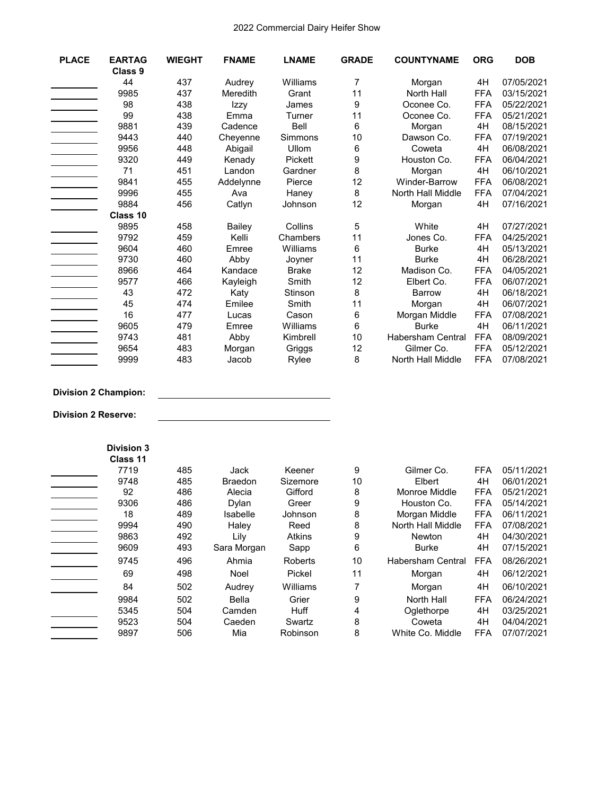| <b>PLACE</b> | <b>EARTAG</b><br>Class 9 | <b>WIEGHT</b> | <b>FNAME</b>  | <b>LNAME</b> | <b>GRADE</b> | <b>COUNTYNAME</b> | <b>ORG</b> | <b>DOB</b> |
|--------------|--------------------------|---------------|---------------|--------------|--------------|-------------------|------------|------------|
|              | 44                       | 437           | Audrey        | Williams     | 7            | Morgan            | 4H         | 07/05/2021 |
|              | 9985                     | 437           | Meredith      | Grant        | 11           | North Hall        | <b>FFA</b> | 03/15/2021 |
|              | 98                       | 438           | Izzy          | James        | 9            | Oconee Co.        | <b>FFA</b> | 05/22/2021 |
|              | 99                       | 438           | Emma          | Turner       | 11           | Oconee Co.        | <b>FFA</b> | 05/21/2021 |
|              | 9881                     | 439           | Cadence       | Bell         | 6            | Morgan            | 4H         | 08/15/2021 |
|              | 9443                     | 440           | Chevenne      | Simmons      | 10           | Dawson Co.        | <b>FFA</b> | 07/19/2021 |
|              | 9956                     | 448           | Abigail       | Ullom        | 6            | Coweta            | 4H         | 06/08/2021 |
|              | 9320                     | 449           | Kenady        | Pickett      | 9            | Houston Co.       | <b>FFA</b> | 06/04/2021 |
|              | 71                       | 451           | Landon        | Gardner      | 8            | Morgan            | 4H         | 06/10/2021 |
|              | 9841                     | 455           | Addelynne     | Pierce       | 12           | Winder-Barrow     | <b>FFA</b> | 06/08/2021 |
|              | 9996                     | 455           | Ava           | Haney        | 8            | North Hall Middle | <b>FFA</b> | 07/04/2021 |
|              | 9884                     | 456           | Catlyn        | Johnson      | 12           | Morgan            | 4H         | 07/16/2021 |
|              | Class 10                 |               |               |              |              |                   |            |            |
|              | 9895                     | 458           | <b>Bailey</b> | Collins      | 5            | White             | 4H         | 07/27/2021 |
|              | 9792                     | 459           | Kelli         | Chambers     | 11           | Jones Co.         | <b>FFA</b> | 04/25/2021 |
|              | 9604                     | 460           | Emree         | Williams     | 6            | <b>Burke</b>      | 4H         | 05/13/2021 |
|              | 9730                     | 460           | Abby          | Joyner       | 11           | <b>Burke</b>      | 4H         | 06/28/2021 |
|              | 8966                     | 464           | Kandace       | <b>Brake</b> | 12           | Madison Co.       | <b>FFA</b> | 04/05/2021 |
|              | 9577                     | 466           | Kayleigh      | Smith        | 12           | Elbert Co.        | <b>FFA</b> | 06/07/2021 |
|              | 43                       | 472           | Katy          | Stinson      | 8            | <b>Barrow</b>     | 4H         | 06/18/2021 |
|              | 45                       | 474           | Emilee        | Smith        | 11           | Morgan            | 4H         | 06/07/2021 |
|              | 16                       | 477           | Lucas         | Cason        | 6            | Morgan Middle     | <b>FFA</b> | 07/08/2021 |
|              | 9605                     | 479           | Emree         | Williams     | 6            | <b>Burke</b>      | 4H         | 06/11/2021 |
|              | 9743                     | 481           | Abby          | Kimbrell     | 10           | Habersham Central | <b>FFA</b> | 08/09/2021 |
|              | 9654                     | 483           | Morgan        | Griggs       | 12           | Gilmer Co.        | <b>FFA</b> | 05/12/2021 |
|              | 9999                     | 483           | Jacob         | Rylee        | 8            | North Hall Middle | <b>FFA</b> | 07/08/2021 |

# **Division 2 Champion:**

**Division 2 Reserve:**

| <b>Division 3</b><br>Class 11 |     |                |               |    |                          |            |            |
|-------------------------------|-----|----------------|---------------|----|--------------------------|------------|------------|
| 7719                          | 485 | Jack           | Keener        | 9  | Gilmer Co.               | <b>FFA</b> | 05/11/2021 |
| 9748                          | 485 | <b>Braedon</b> | Sizemore      | 10 | Elbert                   | 4H         | 06/01/2021 |
| 92                            | 486 | Alecia         | Gifford       | 8  | Monroe Middle            | <b>FFA</b> | 05/21/2021 |
| 9306                          | 486 | Dylan          | Greer         | 9  | Houston Co.              | <b>FFA</b> | 05/14/2021 |
| 18                            | 489 | Isabelle       | Johnson       | 8  | Morgan Middle            | <b>FFA</b> | 06/11/2021 |
| 9994                          | 490 | Haley          | Reed          | 8  | North Hall Middle        | <b>FFA</b> | 07/08/2021 |
| 9863                          | 492 | Lily           | <b>Atkins</b> | 9  | <b>Newton</b>            | 4H         | 04/30/2021 |
| 9609                          | 493 | Sara Morgan    | Sapp          | 6  | <b>Burke</b>             | 4H         | 07/15/2021 |
| 9745                          | 496 | Ahmia          | Roberts       | 10 | <b>Habersham Central</b> | <b>FFA</b> | 08/26/2021 |
| 69                            | 498 | Noel           | Pickel        | 11 | Morgan                   | 4H         | 06/12/2021 |
| 84                            | 502 | Audrey         | Williams      | 7  | Morgan                   | 4H         | 06/10/2021 |
| 9984                          | 502 | Bella          | Grier         | 9  | North Hall               | <b>FFA</b> | 06/24/2021 |
| 5345                          | 504 | Camden         | Huff          | 4  | Oglethorpe               | 4H         | 03/25/2021 |
| 9523                          | 504 | Caeden         | Swartz        | 8  | Coweta                   | 4H         | 04/04/2021 |
| 9897                          | 506 | Mia            | Robinson      | 8  | White Co. Middle         | <b>FFA</b> | 07/07/2021 |

<u> 1980 - Johann Barbara, martin a</u>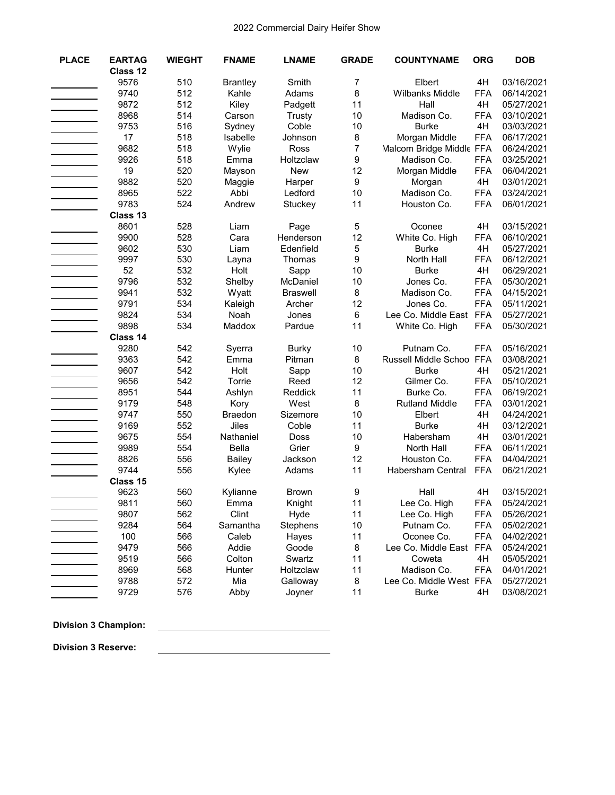| <b>PLACE</b> | <b>EARTAG</b> | <b>WIEGHT</b> | <b>FNAME</b>    | <b>LNAME</b>    | <b>GRADE</b>           | <b>COUNTYNAME</b>        | <b>ORG</b>       | <b>DOB</b>               |
|--------------|---------------|---------------|-----------------|-----------------|------------------------|--------------------------|------------------|--------------------------|
|              | Class 12      |               |                 |                 |                        |                          |                  |                          |
|              | 9576          | 510           | <b>Brantley</b> | Smith           | $\overline{7}$         | Elbert                   | 4H               | 03/16/2021               |
|              | 9740          | 512           | Kahle           | Adams           | 8                      | Wilbanks Middle          | <b>FFA</b>       | 06/14/2021               |
|              | 9872          | 512           | Kiley           | Padgett         | 11                     | Hall                     | 4H               | 05/27/2021               |
|              | 8968          | 514           | Carson          | Trusty          | 10                     | Madison Co.              | <b>FFA</b>       | 03/10/2021               |
|              | 9753          | 516           | Sydney          | Coble           | 10                     | <b>Burke</b>             | 4H               | 03/03/2021               |
|              | 17            | 518           | Isabelle        | Johnson         | 8                      | Morgan Middle            | <b>FFA</b>       | 06/17/2021               |
|              | 9682          | 518           | Wylie           | Ross            | $\overline{7}$         | Malcom Bridge Middle FFA |                  | 06/24/2021               |
|              | 9926          | 518           | Emma            | Holtzclaw       | 9                      | Madison Co.              | <b>FFA</b>       | 03/25/2021               |
|              | 19            | 520           | Mayson          | <b>New</b>      | 12                     | Morgan Middle            | <b>FFA</b>       | 06/04/2021               |
|              | 9882          | 520           | Maggie          | Harper          | 9                      | Morgan                   | 4H               | 03/01/2021               |
|              | 8965          | 522           | Abbi            | Ledford         | 10                     | Madison Co.              | <b>FFA</b>       | 03/24/2021               |
|              | 9783          | 524           | Andrew          | Stuckey         | 11                     | Houston Co.              | <b>FFA</b>       | 06/01/2021               |
|              | Class 13      |               |                 |                 |                        |                          |                  |                          |
|              | 8601          | 528           | Liam            | Page            | 5                      | Oconee                   | 4H               | 03/15/2021               |
|              | 9900          | 528           | Cara            | Henderson       | 12                     | White Co. High           | <b>FFA</b>       | 06/10/2021               |
|              | 9602          | 530           | Liam            | Edenfield       | 5                      | <b>Burke</b>             | 4H               | 05/27/2021               |
|              | 9997          | 530           | Layna           | Thomas          | 9                      | North Hall               | <b>FFA</b>       | 06/12/2021               |
|              | 52            | 532           | Holt            | Sapp            | 10                     | <b>Burke</b>             | 4H               | 06/29/2021               |
|              | 9796          | 532           | Shelby          | McDaniel        | 10                     | Jones Co.                | <b>FFA</b>       | 05/30/2021               |
|              | 9941          | 532           | Wyatt           | <b>Braswell</b> | 8                      | Madison Co.              | <b>FFA</b>       | 04/15/2021               |
|              | 9791          | 534           | Kaleigh         | Archer          | 12                     | Jones Co.                | <b>FFA</b>       | 05/11/2021               |
|              | 9824          | 534           | Noah            | Jones           | 6                      | Lee Co. Middle East      | <b>FFA</b>       | 05/27/2021               |
|              | 9898          | 534           | Maddox          | Pardue          | 11                     | White Co. High           | <b>FFA</b>       | 05/30/2021               |
|              | Class 14      |               |                 |                 |                        |                          |                  |                          |
|              | 9280          | 542           | Syerra          | <b>Burky</b>    | 10                     | Putnam Co.               | <b>FFA</b>       | 05/16/2021               |
|              | 9363          | 542           | Emma            | Pitman          | 8                      | Russell Middle Schoo FFA |                  | 03/08/2021               |
|              | 9607          | 542           | Holt            | Sapp            | 10                     | <b>Burke</b>             | 4H               | 05/21/2021               |
|              | 9656          | 542           | Torrie          | Reed            | 12                     | Gilmer Co.               | <b>FFA</b>       | 05/10/2021               |
|              | 8951          | 544           | Ashlyn          | Reddick         | 11                     | Burke Co.                | <b>FFA</b>       | 06/19/2021               |
|              | 9179          | 548           | Kory            | West            | 8                      | <b>Rutland Middle</b>    | <b>FFA</b>       | 03/01/2021               |
|              | 9747          | 550           | <b>Braedon</b>  | Sizemore        | 10                     | Elbert                   | 4H               | 04/24/2021               |
|              | 9169          | 552           | Jiles           | Coble           | 11                     | <b>Burke</b>             | 4H               | 03/12/2021               |
|              | 9675<br>9989  | 554<br>554    | Nathaniel       | Doss<br>Grier   | 10<br>$\boldsymbol{9}$ | Habersham                | 4H<br><b>FFA</b> | 03/01/2021               |
|              | 8826          |               | Bella           |                 | 12                     | North Hall               | <b>FFA</b>       | 06/11/2021<br>04/04/2021 |
|              | 9744          | 556           | Bailey          | Jackson         | 11                     | Houston Co.              |                  |                          |
|              | Class 15      | 556           | Kylee           | Adams           |                        | Habersham Central        | <b>FFA</b>       | 06/21/2021               |
|              | 9623          | 560           | Kylianne        | <b>Brown</b>    | 9                      | Hall                     | 4H               | 03/15/2021               |
|              | 9811          | 560           | Emma            | Knight          | 11                     | Lee Co. High             | <b>FFA</b>       | 05/24/2021               |
|              | 9807          | 562           | Clint           | Hyde            | 11                     | Lee Co. High             | <b>FFA</b>       | 05/26/2021               |
|              | 9284          | 564           | Samantha        | Stephens        | 10                     | Putnam Co.               | <b>FFA</b>       | 05/02/2021               |
|              | 100           | 566           | Caleb           |                 | 11                     | Oconee Co.               | <b>FFA</b>       | 04/02/2021               |
|              | 9479          | 566           | Addie           | Hayes<br>Goode  | 8                      | Lee Co. Middle East      | <b>FFA</b>       | 05/24/2021               |
|              | 9519          | 566           | Colton          | Swartz          | 11                     | Coweta                   | 4H               | 05/05/2021               |
|              | 8969          | 568           |                 | Holtzclaw       | 11                     | Madison Co.              | <b>FFA</b>       | 04/01/2021               |
|              | 9788          | 572           | Hunter<br>Mia   | Galloway        | 8                      | Lee Co. Middle West FFA  |                  | 05/27/2021               |
|              | 9729          | 576           | Abby            | Joyner          | 11                     | <b>Burke</b>             | 4H               | 03/08/2021               |
|              |               |               |                 |                 |                        |                          |                  |                          |

# **Division 3 Champion:**

**Division 3 Reserve:**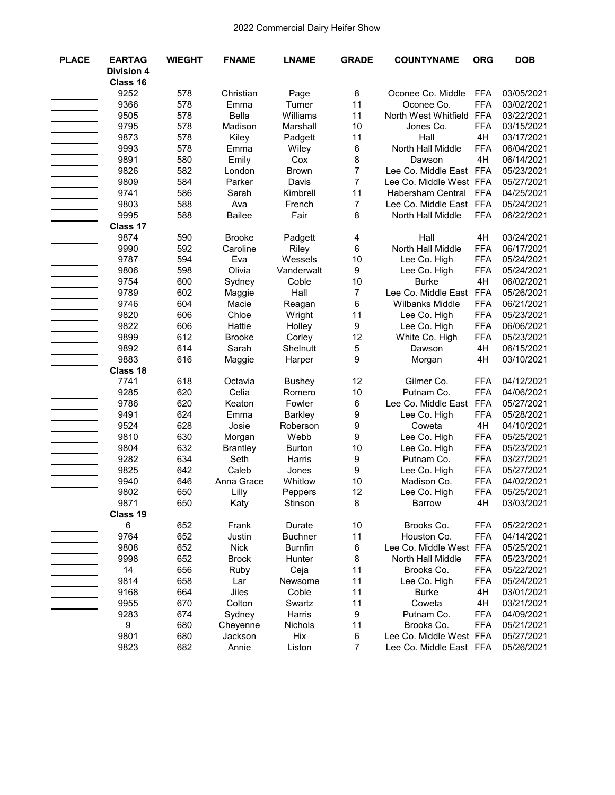| <b>PLACE</b> | <b>EARTAG</b>     | <b>WIEGHT</b> | <b>FNAME</b>            | <b>LNAME</b>          | <b>GRADE</b>   | <b>COUNTYNAME</b>          | <b>ORG</b>               | <b>DOB</b>               |
|--------------|-------------------|---------------|-------------------------|-----------------------|----------------|----------------------------|--------------------------|--------------------------|
|              | <b>Division 4</b> |               |                         |                       |                |                            |                          |                          |
|              | Class 16          |               |                         |                       |                |                            |                          |                          |
|              | 9252              | 578           | Christian               | Page                  | 8              | Oconee Co. Middle          | <b>FFA</b>               | 03/05/2021               |
|              | 9366              | 578           | Emma                    | Turner                | 11             | Oconee Co.                 | <b>FFA</b>               | 03/02/2021               |
|              | 9505<br>9795      | 578           | <b>Bella</b>            | Williams              | 11<br>10       | North West Whitfield       | <b>FFA</b><br><b>FFA</b> | 03/22/2021               |
|              | 9873              | 578<br>578    | Madison<br>Kiley        | Marshall              | 11             | Jones Co.<br>Hall          | 4H                       | 03/15/2021<br>03/17/2021 |
|              | 9993              | 578           | Emma                    | Padgett<br>Wiley      | 6              | North Hall Middle          | <b>FFA</b>               | 06/04/2021               |
|              | 9891              | 580           | Emily                   | Cox                   | 8              | Dawson                     | 4H                       | 06/14/2021               |
|              | 9826              | 582           | London                  | <b>Brown</b>          | $\overline{7}$ | Lee Co. Middle East FFA    |                          | 05/23/2021               |
|              | 9809              | 584           | Parker                  | Davis                 | $\overline{7}$ | Lee Co. Middle West FFA    |                          | 05/27/2021               |
|              | 9741              | 586           | Sarah                   | Kimbrell              | 11             | Habersham Central FFA      |                          | 04/25/2021               |
|              | 9803              | 588           | Ava                     | French                | $\overline{7}$ | Lee Co. Middle East FFA    |                          | 05/24/2021               |
|              | 9995              | 588           | <b>Bailee</b>           | Fair                  | 8              | North Hall Middle          | <b>FFA</b>               | 06/22/2021               |
|              | Class 17          |               |                         |                       |                |                            |                          |                          |
|              | 9874              | 590           | <b>Brooke</b>           | Padgett               | 4              | Hall                       | 4H                       | 03/24/2021               |
|              | 9990              | 592           | Caroline                | Riley                 | 6              | North Hall Middle          | <b>FFA</b>               | 06/17/2021               |
|              | 9787              | 594           | Eva                     | Wessels               | 10             | Lee Co. High               | <b>FFA</b>               | 05/24/2021               |
|              | 9806              | 598           | Olivia                  | Vanderwalt            | 9              | Lee Co. High               | <b>FFA</b>               | 05/24/2021               |
|              | 9754              | 600           | Sydney                  | Coble                 | 10             | <b>Burke</b>               | 4H                       | 06/02/2021               |
|              | 9789              | 602           | Maggie                  | Hall                  | $\overline{7}$ | Lee Co. Middle East        | <b>FFA</b>               | 05/26/2021               |
|              | 9746              | 604           | Macie                   | Reagan                | 6              | Wilbanks Middle            | <b>FFA</b>               | 06/21/2021               |
|              | 9820              | 606           | Chloe                   | Wright                | 11             | Lee Co. High               | <b>FFA</b>               | 05/23/2021               |
|              | 9822              | 606           | Hattie                  | Holley                | 9              | Lee Co. High               | <b>FFA</b>               | 06/06/2021               |
|              | 9899              | 612           | <b>Brooke</b>           | Corley                | 12             | White Co. High             | <b>FFA</b>               | 05/23/2021               |
|              | 9892              | 614           | Sarah                   | Shelnutt              | 5              | Dawson                     | 4H                       | 06/15/2021               |
|              | 9883              | 616           | Maggie                  | Harper                | 9              | Morgan                     | 4H                       | 03/10/2021               |
|              | Class 18          |               |                         |                       |                |                            |                          |                          |
|              | 7741              | 618           | Octavia                 | <b>Bushey</b>         | 12             | Gilmer Co.                 | <b>FFA</b>               | 04/12/2021               |
|              | 9285              | 620           | Celia                   | Romero                | 10             | Putnam Co.                 | <b>FFA</b>               | 04/06/2021               |
|              | 9786              | 620           | Keaton                  | Fowler                | 6              | Lee Co. Middle East        | <b>FFA</b>               | 05/27/2021               |
|              | 9491              | 624           | Emma                    | <b>Barkley</b>        | 9              | Lee Co. High               | <b>FFA</b>               | 05/28/2021               |
|              | 9524              | 628           | Josie                   | Roberson              | 9              | Coweta                     | 4H<br><b>FFA</b>         | 04/10/2021               |
|              | 9810<br>9804      | 630<br>632    | Morgan                  | Webb<br><b>Burton</b> | 9<br>10        | Lee Co. High               | <b>FFA</b>               | 05/25/2021<br>05/23/2021 |
|              | 9282              | 634           | <b>Brantley</b><br>Seth | Harris                | 9              | Lee Co. High<br>Putnam Co. | <b>FFA</b>               | 03/27/2021               |
|              | 9825              | 642           | Caleb                   | Jones                 | 9              | Lee Co. High               | <b>FFA</b>               | 05/27/2021               |
|              | 9940              | 646           | Anna Grace              | Whitlow               | 10             | Madison Co.                | <b>FFA</b>               | 04/02/2021               |
|              | 9802              | 650           | Lilly                   | Peppers               | 12             | Lee Co. High               | <b>FFA</b>               | 05/25/2021               |
|              | 9871              | 650           | Katy                    | Stinson               | 8              | Barrow                     | 4H                       | 03/03/2021               |
|              | Class 19          |               |                         |                       |                |                            |                          |                          |
|              | $\,6$             | 652           | Frank                   | Durate                | 10             | Brooks Co.                 | <b>FFA</b>               | 05/22/2021               |
|              | 9764              | 652           | Justin                  | <b>Buchner</b>        | 11             | Houston Co.                | <b>FFA</b>               | 04/14/2021               |
|              | 9808              | 652           | <b>Nick</b>             | <b>Burnfin</b>        | 6              | Lee Co. Middle West FFA    |                          | 05/25/2021               |
|              | 9998              | 652           | <b>Brock</b>            | Hunter                | 8              | North Hall Middle          | <b>FFA</b>               | 05/23/2021               |
|              | 14                | 656           | Ruby                    | Ceja                  | 11             | Brooks Co.                 | <b>FFA</b>               | 05/22/2021               |
|              | 9814              | 658           | Lar                     | Newsome               | 11             | Lee Co. High               | <b>FFA</b>               | 05/24/2021               |
|              | 9168              | 664           | Jiles                   | Coble                 | 11             | <b>Burke</b>               | 4H                       | 03/01/2021               |
|              | 9955              | 670           | Colton                  | Swartz                | 11             | Coweta                     | 4H                       | 03/21/2021               |
|              | 9283              | 674           | Sydney                  | Harris                | 9              | Putnam Co.                 | FFA                      | 04/09/2021               |
|              | $\boldsymbol{9}$  | 680           | Cheyenne                | Nichols               | 11             | Brooks Co.                 | <b>FFA</b>               | 05/21/2021               |
|              | 9801              | 680           | Jackson                 | Hix                   | 6              | Lee Co. Middle West FFA    |                          | 05/27/2021               |
|              | 9823              | 682           | Annie                   | Liston                | $\overline{7}$ | Lee Co. Middle East FFA    |                          | 05/26/2021               |